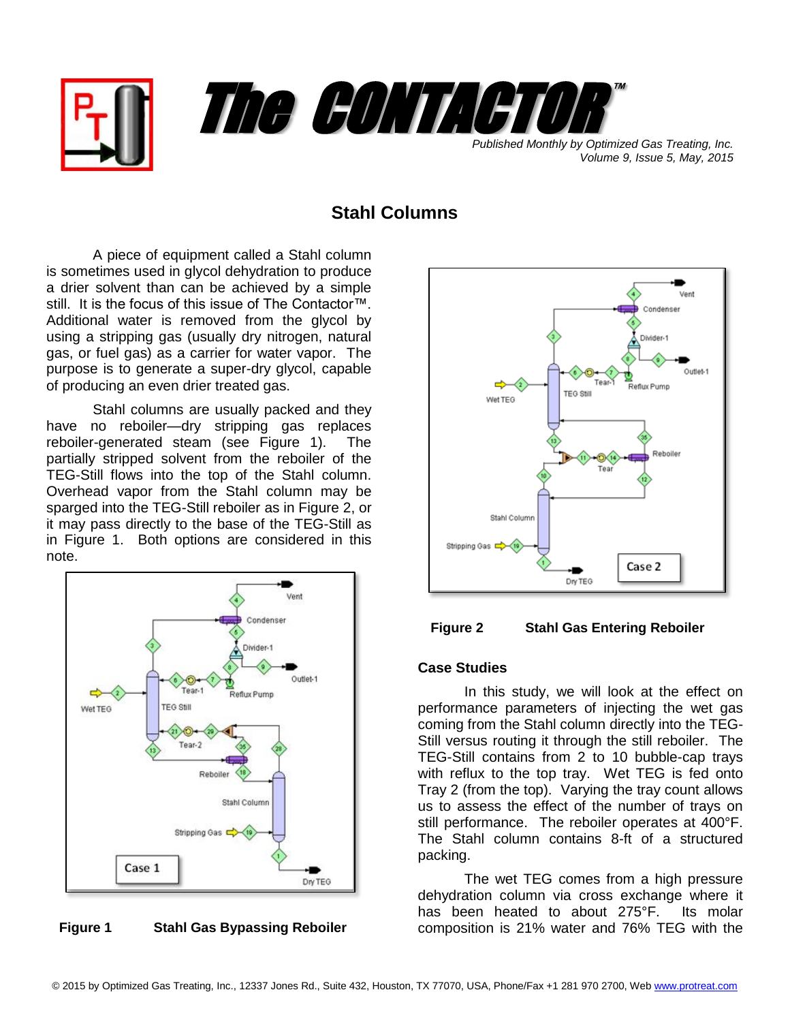



*Volume 9, Issue 5, May, 2015*

## **Stahl Columns**

A piece of equipment called a Stahl column is sometimes used in glycol dehydration to produce a drier solvent than can be achieved by a simple still. It is the focus of this issue of The Contactor™. Additional water is removed from the glycol by using a stripping gas (usually dry nitrogen, natural gas, or fuel gas) as a carrier for water vapor. The purpose is to generate a super-dry glycol, capable of producing an even drier treated gas.

Stahl columns are usually packed and they have no reboiler—dry stripping gas replaces reboiler-generated steam (see Figure 1). The partially stripped solvent from the reboiler of the TEG-Still flows into the top of the Stahl column. Overhead vapor from the Stahl column may be sparged into the TEG-Still reboiler as in Figure 2, or it may pass directly to the base of the TEG-Still as in Figure 1. Both options are considered in this note.



**Figure 1 Stahl Gas Bypassing Reboiler**





## **Case Studies**

In this study, we will look at the effect on performance parameters of injecting the wet gas coming from the Stahl column directly into the TEG-Still versus routing it through the still reboiler. The TEG-Still contains from 2 to 10 bubble-cap trays with reflux to the top tray. Wet TEG is fed onto Tray 2 (from the top). Varying the tray count allows us to assess the effect of the number of trays on still performance. The reboiler operates at 400°F. The Stahl column contains 8-ft of a structured packing.

The wet TEG comes from a high pressure dehydration column via cross exchange where it has been heated to about 275°F. Its molar composition is 21% water and 76% TEG with the